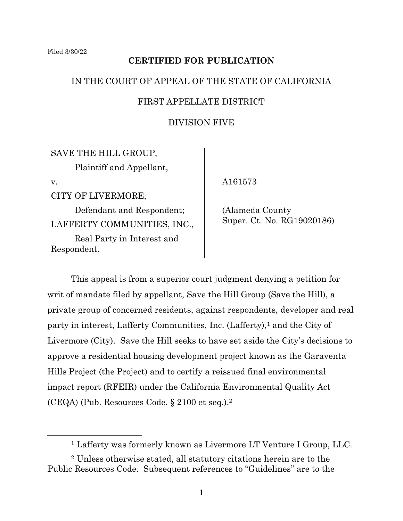# **CERTIFIED FOR PUBLICATION**

## IN THE COURT OF APPEAL OF THE STATE OF CALIFORNIA

## FIRST APPELLATE DISTRICT

# DIVISION FIVE

SAVE THE HILL GROUP, Plaintiff and Appellant, v. CITY OF LIVERMORE, Defendant and Respondent;

LAFFERTY COMMUNITIES, INC., Real Party in Interest and Respondent.

A161573

 (Alameda County Super. Ct. No. RG19020186)

This appeal is from a superior court judgment denying a petition for writ of mandate filed by appellant, Save the Hill Group (Save the Hill), a private group of concerned residents, against respondents, developer and real party in interest, Lafferty Communities, Inc. (Lafferty), <sup>1</sup> and the City of Livermore (City). Save the Hill seeks to have set aside the City's decisions to approve a residential housing development project known as the Garaventa Hills Project (the Project) and to certify a reissued final environmental impact report (RFEIR) under the California Environmental Quality Act (CEQA) (Pub. Resources Code, § 2100 et seq.).<sup>2</sup>

<sup>1</sup> Lafferty was formerly known as Livermore LT Venture I Group, LLC.

<sup>2</sup> Unless otherwise stated, all statutory citations herein are to the Public Resources Code. Subsequent references to "Guidelines" are to the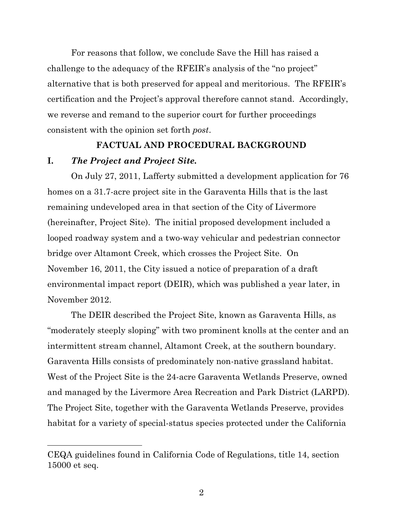For reasons that follow, we conclude Save the Hill has raised a challenge to the adequacy of the RFEIR's analysis of the "no project" alternative that is both preserved for appeal and meritorious. The RFEIR's certification and the Project's approval therefore cannot stand. Accordingly, we reverse and remand to the superior court for further proceedings consistent with the opinion set forth *post*.

## **FACTUAL AND PROCEDURAL BACKGROUND**

## **I.** *The Project and Project Site.*

On July 27, 2011, Lafferty submitted a development application for 76 homes on a 31.7-acre project site in the Garaventa Hills that is the last remaining undeveloped area in that section of the City of Livermore (hereinafter, Project Site). The initial proposed development included a looped roadway system and a two-way vehicular and pedestrian connector bridge over Altamont Creek, which crosses the Project Site. On November 16, 2011, the City issued a notice of preparation of a draft environmental impact report (DEIR), which was published a year later, in November 2012.

The DEIR described the Project Site, known as Garaventa Hills, as "moderately steeply sloping" with two prominent knolls at the center and an intermittent stream channel, Altamont Creek, at the southern boundary. Garaventa Hills consists of predominately non-native grassland habitat. West of the Project Site is the 24-acre Garaventa Wetlands Preserve, owned and managed by the Livermore Area Recreation and Park District (LARPD). The Project Site, together with the Garaventa Wetlands Preserve, provides habitat for a variety of special-status species protected under the California

CEQA guidelines found in California Code of Regulations, title 14, section 15000 et seq.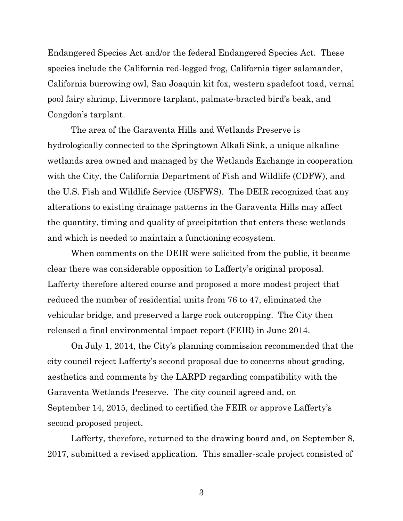Endangered Species Act and/or the federal Endangered Species Act. These species include the California red-legged frog, California tiger salamander, California burrowing owl, San Joaquin kit fox, western spadefoot toad, vernal pool fairy shrimp, Livermore tarplant, palmate-bracted bird's beak, and Congdon's tarplant.

The area of the Garaventa Hills and Wetlands Preserve is hydrologically connected to the Springtown Alkali Sink, a unique alkaline wetlands area owned and managed by the Wetlands Exchange in cooperation with the City, the California Department of Fish and Wildlife (CDFW), and the U.S. Fish and Wildlife Service (USFWS). The DEIR recognized that any alterations to existing drainage patterns in the Garaventa Hills may affect the quantity, timing and quality of precipitation that enters these wetlands and which is needed to maintain a functioning ecosystem.

When comments on the DEIR were solicited from the public, it became clear there was considerable opposition to Lafferty's original proposal. Lafferty therefore altered course and proposed a more modest project that reduced the number of residential units from 76 to 47, eliminated the vehicular bridge, and preserved a large rock outcropping. The City then released a final environmental impact report (FEIR) in June 2014.

On July 1, 2014, the City's planning commission recommended that the city council reject Lafferty's second proposal due to concerns about grading, aesthetics and comments by the LARPD regarding compatibility with the Garaventa Wetlands Preserve. The city council agreed and, on September 14, 2015, declined to certified the FEIR or approve Lafferty's second proposed project.

Lafferty, therefore, returned to the drawing board and, on September 8, 2017, submitted a revised application. This smaller-scale project consisted of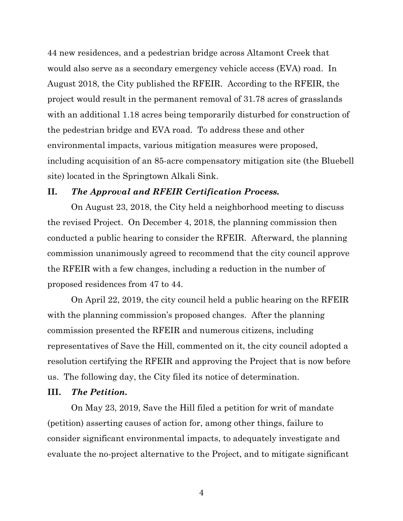44 new residences, and a pedestrian bridge across Altamont Creek that would also serve as a secondary emergency vehicle access (EVA) road. In August 2018, the City published the RFEIR. According to the RFEIR, the project would result in the permanent removal of 31.78 acres of grasslands with an additional 1.18 acres being temporarily disturbed for construction of the pedestrian bridge and EVA road. To address these and other environmental impacts, various mitigation measures were proposed, including acquisition of an 85-acre compensatory mitigation site (the Bluebell site) located in the Springtown Alkali Sink.

#### **II.** *The Approval and RFEIR Certification Process.*

On August 23, 2018, the City held a neighborhood meeting to discuss the revised Project. On December 4, 2018, the planning commission then conducted a public hearing to consider the RFEIR. Afterward, the planning commission unanimously agreed to recommend that the city council approve the RFEIR with a few changes, including a reduction in the number of proposed residences from 47 to 44.

On April 22, 2019, the city council held a public hearing on the RFEIR with the planning commission's proposed changes. After the planning commission presented the RFEIR and numerous citizens, including representatives of Save the Hill, commented on it, the city council adopted a resolution certifying the RFEIR and approving the Project that is now before us. The following day, the City filed its notice of determination.

### **III.** *The Petition.*

On May 23, 2019, Save the Hill filed a petition for writ of mandate (petition) asserting causes of action for, among other things, failure to consider significant environmental impacts, to adequately investigate and evaluate the no-project alternative to the Project, and to mitigate significant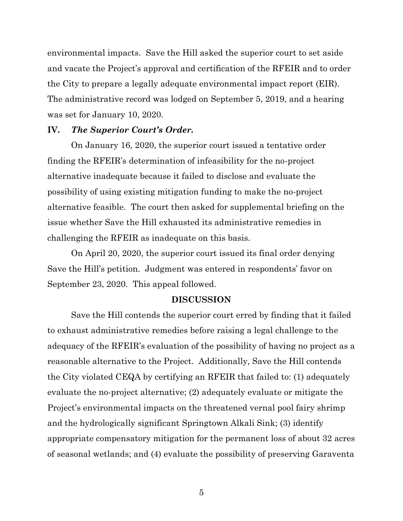environmental impacts. Save the Hill asked the superior court to set aside and vacate the Project's approval and certification of the RFEIR and to order the City to prepare a legally adequate environmental impact report (EIR). The administrative record was lodged on September 5, 2019, and a hearing was set for January 10, 2020.

#### **IV.** *The Superior Court's Order.*

On January 16, 2020, the superior court issued a tentative order finding the RFEIR's determination of infeasibility for the no-project alternative inadequate because it failed to disclose and evaluate the possibility of using existing mitigation funding to make the no-project alternative feasible. The court then asked for supplemental briefing on the issue whether Save the Hill exhausted its administrative remedies in challenging the RFEIR as inadequate on this basis.

On April 20, 2020, the superior court issued its final order denying Save the Hill's petition. Judgment was entered in respondents' favor on September 23, 2020. This appeal followed.

#### **DISCUSSION**

Save the Hill contends the superior court erred by finding that it failed to exhaust administrative remedies before raising a legal challenge to the adequacy of the RFEIR's evaluation of the possibility of having no project as a reasonable alternative to the Project. Additionally, Save the Hill contends the City violated CEQA by certifying an RFEIR that failed to: (1) adequately evaluate the no-project alternative; (2) adequately evaluate or mitigate the Project's environmental impacts on the threatened vernal pool fairy shrimp and the hydrologically significant Springtown Alkali Sink; (3) identify appropriate compensatory mitigation for the permanent loss of about 32 acres of seasonal wetlands; and (4) evaluate the possibility of preserving Garaventa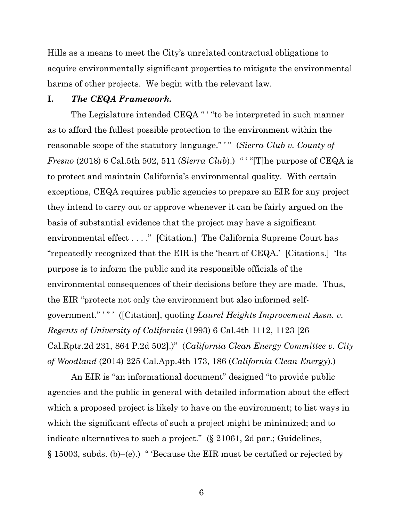Hills as a means to meet the City's unrelated contractual obligations to acquire environmentally significant properties to mitigate the environmental harms of other projects. We begin with the relevant law.

#### **I.** *The CEQA Framework.*

The Legislature intended CEQA " ' "to be interpreted in such manner as to afford the fullest possible protection to the environment within the reasonable scope of the statutory language." " (*Sierra Club v. County of Fresno* (2018) 6 Cal.5th 502, 511 (*Sierra Club*).) " ' "[T]he purpose of CEQA is to protect and maintain California's environmental quality. With certain exceptions, CEQA requires public agencies to prepare an EIR for any project they intend to carry out or approve whenever it can be fairly argued on the basis of substantial evidence that the project may have a significant environmental effect . . . ." [Citation.] The California Supreme Court has "repeatedly recognized that the EIR is the 'heart of CEQA.' [Citations.] 'Its purpose is to inform the public and its responsible officials of the environmental consequences of their decisions before they are made. Thus, the EIR "protects not only the environment but also informed selfgovernment." ' " ' ([Citation], quoting *Laurel Heights Improvement Assn. v. Regents of University of California* (1993) 6 Cal.4th 1112, 1123 [26 Cal.Rptr.2d 231, 864 P.2d 502].)" (*California Clean Energy Committee v. City of Woodland* (2014) 225 Cal.App.4th 173, 186 (*California Clean Energy*).)

An EIR is "an informational document" designed "to provide public agencies and the public in general with detailed information about the effect which a proposed project is likely to have on the environment; to list ways in which the significant effects of such a project might be minimized; and to indicate alternatives to such a project." (§ 21061, 2d par.; Guidelines,  $§$  15003, subds. (b)–(e).) " Because the EIR must be certified or rejected by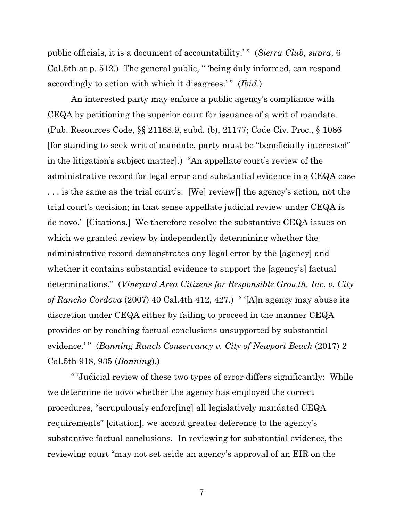public officials, it is a document of accountability.'" (*Sierra Club, supra*, 6 Cal.5th at p. 512.) The general public, " 'being duly informed, can respond accordingly to action with which it disagrees.'" (*Ibid.*)

An interested party may enforce a public agency's compliance with CEQA by petitioning the superior court for issuance of a writ of mandate. (Pub. Resources Code, §§ 21168.9, subd. (b), 21177; Code Civ. Proc., § 1086 [for standing to seek writ of mandate, party must be "beneficially interested" in the litigation's subject matter].) "An appellate court's review of the administrative record for legal error and substantial evidence in a CEQA case . . . is the same as the trial court's: [We] review[] the agency's action, not the trial court's decision; in that sense appellate judicial review under CEQA is de novo.' [Citations.] We therefore resolve the substantive CEQA issues on which we granted review by independently determining whether the administrative record demonstrates any legal error by the [agency] and whether it contains substantial evidence to support the [agency's] factual determinations." (*Vineyard Area Citizens for Responsible Growth, Inc. v. City of Rancho Cordova* (2007) 40 Cal.4th 412, 427.) " '[A]n agency may abuse its discretion under CEQA either by failing to proceed in the manner CEQA provides or by reaching factual conclusions unsupported by substantial evidence.' " (*Banning Ranch Conservancy v. City of Newport Beach* (2017) 2 Cal.5th 918, 935 (*Banning*).)

" 'Judicial review of these two types of error differs significantly: While we determine de novo whether the agency has employed the correct procedures, "scrupulously enforc[ing] all legislatively mandated CEQA requirements" [citation], we accord greater deference to the agency's substantive factual conclusions. In reviewing for substantial evidence, the reviewing court "may not set aside an agency's approval of an EIR on the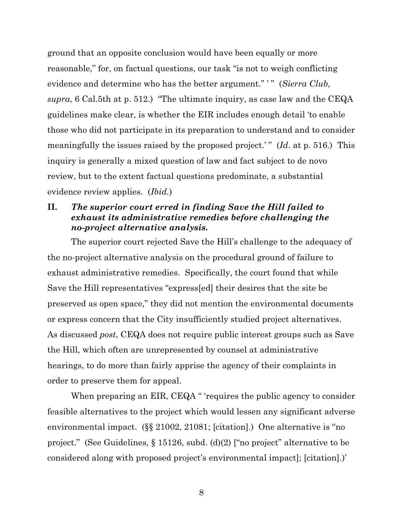ground that an opposite conclusion would have been equally or more reasonable," for, on factual questions, our task "is not to weigh conflicting evidence and determine who has the better argument." ' " (*Sierra Club, supra*, 6 Cal.5th at p. 512.) "The ultimate inquiry, as case law and the CEQA guidelines make clear, is whether the EIR includes enough detail 'to enable those who did not participate in its preparation to understand and to consider meaningfully the issues raised by the proposed project.' " (*Id*. at p. 516.) This inquiry is generally a mixed question of law and fact subject to de novo review, but to the extent factual questions predominate, a substantial evidence review applies. (*Ibid.*)

## **II.** *The superior court erred in finding Save the Hill failed to exhaust its administrative remedies before challenging the no-project alternative analysis.*

The superior court rejected Save the Hill's challenge to the adequacy of the no-project alternative analysis on the procedural ground of failure to exhaust administrative remedies. Specifically, the court found that while Save the Hill representatives "express[ed] their desires that the site be preserved as open space," they did not mention the environmental documents or express concern that the City insufficiently studied project alternatives. As discussed *post*, CEQA does not require public interest groups such as Save the Hill, which often are unrepresented by counsel at administrative hearings, to do more than fairly apprise the agency of their complaints in order to preserve them for appeal.

When preparing an EIR, CEQA " 'requires the public agency to consider feasible alternatives to the project which would lessen any significant adverse environmental impact. (§§ 21002, 21081; [citation].) One alternative is "no project." (See Guidelines, § 15126, subd. (d)(2) ["no project" alternative to be considered along with proposed project's environmental impact]; [citation].)'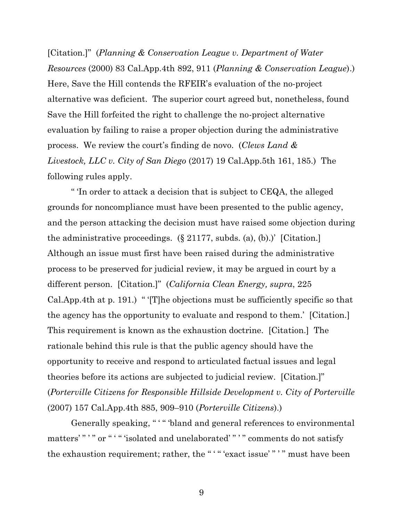[Citation.]" (*Planning & Conservation League v. Department of Water Resources* (2000) 83 Cal.App.4th 892, 911 (*Planning & Conservation League*).) Here, Save the Hill contends the RFEIR's evaluation of the no-project alternative was deficient. The superior court agreed but, nonetheless, found Save the Hill forfeited the right to challenge the no-project alternative evaluation by failing to raise a proper objection during the administrative process. We review the court's finding de novo. (*Clews Land & Livestock, LLC v. City of San Diego* (2017) 19 Cal.App.5th 161, 185.) The following rules apply.

" 'In order to attack a decision that is subject to CEQA, the alleged grounds for noncompliance must have been presented to the public agency, and the person attacking the decision must have raised some objection during the administrative proceedings.  $(\S 21177, \S 484)$ , (b).) [Citation.] Although an issue must first have been raised during the administrative process to be preserved for judicial review, it may be argued in court by a different person. [Citation.]" (*California Clean Energy, supra*, 225 Cal.App.4th at p. 191.) " '[T]he objections must be sufficiently specific so that the agency has the opportunity to evaluate and respond to them.' [Citation.] This requirement is known as the exhaustion doctrine. [Citation.] The rationale behind this rule is that the public agency should have the opportunity to receive and respond to articulated factual issues and legal theories before its actions are subjected to judicial review. [Citation.]" (*Porterville Citizens for Responsible Hillside Development v. City of Porterville* (2007) 157 Cal.App.4th 885, 909–910 (*Porterville Citizens*).)

Generally speaking, "" "bland and general references to environmental matters' " ' " or " ' " 'isolated and unelaborated' " ' " comments do not satisfy the exhaustion requirement; rather, the "'" "exact issue'"'" must have been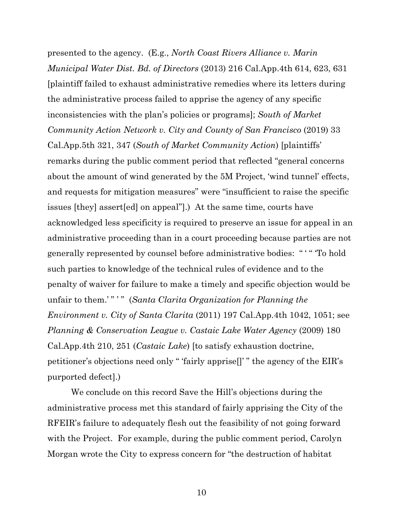presented to the agency. (E.g., *North Coast Rivers Alliance v. Marin Municipal Water Dist. Bd. of Directors* (2013) 216 Cal.App.4th 614, 623, 631 [plaintiff failed to exhaust administrative remedies where its letters during the administrative process failed to apprise the agency of any specific inconsistencies with the plan's policies or programs]; *South of Market Community Action Network v. City and County of San Francisco* (2019) 33 Cal.App.5th 321, 347 (*South of Market Community Action*) [plaintiffs' remarks during the public comment period that reflected "general concerns about the amount of wind generated by the 5M Project, 'wind tunnel' effects, and requests for mitigation measures" were "insufficient to raise the specific issues [they] assert[ed] on appeal"].) At the same time, courts have acknowledged less specificity is required to preserve an issue for appeal in an administrative proceeding than in a court proceeding because parties are not generally represented by counsel before administrative bodies: " ' " 'To hold such parties to knowledge of the technical rules of evidence and to the penalty of waiver for failure to make a timely and specific objection would be unfair to them.' " ' " (*Santa Clarita Organization for Planning the Environment v. City of Santa Clarita* (2011) 197 Cal.App.4th 1042, 1051; see *Planning & Conservation League v. Castaic Lake Water Agency* (2009) 180 Cal.App.4th 210, 251 (*Castaic Lake*) [to satisfy exhaustion doctrine, petitioner's objections need only " 'fairly apprise[]' " the agency of the EIR's purported defect].)

We conclude on this record Save the Hill's objections during the administrative process met this standard of fairly apprising the City of the RFEIR's failure to adequately flesh out the feasibility of not going forward with the Project. For example, during the public comment period, Carolyn Morgan wrote the City to express concern for "the destruction of habitat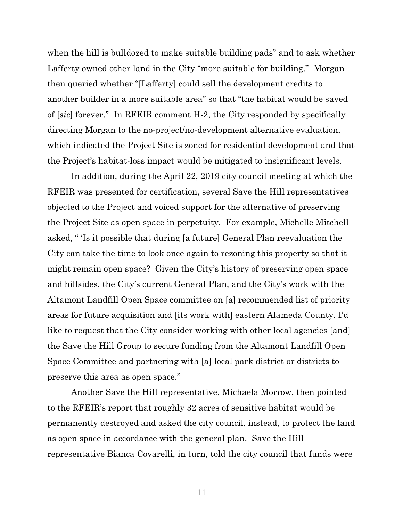when the hill is bulldozed to make suitable building pads" and to ask whether Lafferty owned other land in the City "more suitable for building." Morgan then queried whether "[Lafferty] could sell the development credits to another builder in a more suitable area" so that "the habitat would be saved of [*sic*] forever." In RFEIR comment H-2, the City responded by specifically directing Morgan to the no-project/no-development alternative evaluation, which indicated the Project Site is zoned for residential development and that the Project's habitat-loss impact would be mitigated to insignificant levels.

In addition, during the April 22, 2019 city council meeting at which the RFEIR was presented for certification, several Save the Hill representatives objected to the Project and voiced support for the alternative of preserving the Project Site as open space in perpetuity. For example, Michelle Mitchell asked, " 'Is it possible that during [a future] General Plan reevaluation the City can take the time to look once again to rezoning this property so that it might remain open space? Given the City's history of preserving open space and hillsides, the City's current General Plan, and the City's work with the Altamont Landfill Open Space committee on [a] recommended list of priority areas for future acquisition and [its work with] eastern Alameda County, I'd like to request that the City consider working with other local agencies [and] the Save the Hill Group to secure funding from the Altamont Landfill Open Space Committee and partnering with [a] local park district or districts to preserve this area as open space."

Another Save the Hill representative, Michaela Morrow, then pointed to the RFEIR's report that roughly 32 acres of sensitive habitat would be permanently destroyed and asked the city council, instead, to protect the land as open space in accordance with the general plan. Save the Hill representative Bianca Covarelli, in turn, told the city council that funds were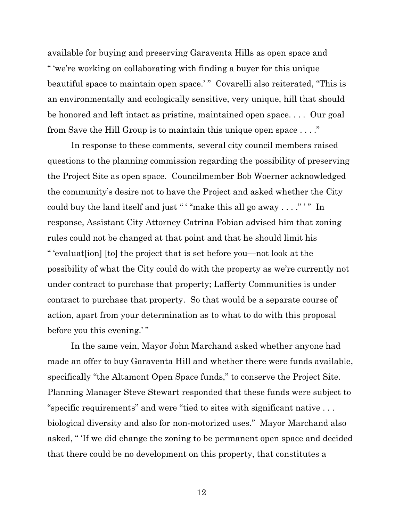available for buying and preserving Garaventa Hills as open space and " 'we're working on collaborating with finding a buyer for this unique beautiful space to maintain open space.' " Covarelli also reiterated, "This is an environmentally and ecologically sensitive, very unique, hill that should be honored and left intact as pristine, maintained open space. . . . Our goal from Save the Hill Group is to maintain this unique open space . . . ."

In response to these comments, several city council members raised questions to the planning commission regarding the possibility of preserving the Project Site as open space. Councilmember Bob Woerner acknowledged the community's desire not to have the Project and asked whether the City could buy the land itself and just " "make this all go away . . . ." "" In response, Assistant City Attorney Catrina Fobian advised him that zoning rules could not be changed at that point and that he should limit his " 'evaluat[ion] [to] the project that is set before you—not look at the possibility of what the City could do with the property as we're currently not under contract to purchase that property; Lafferty Communities is under contract to purchase that property. So that would be a separate course of action, apart from your determination as to what to do with this proposal before you this evening.'"

In the same vein, Mayor John Marchand asked whether anyone had made an offer to buy Garaventa Hill and whether there were funds available, specifically "the Altamont Open Space funds," to conserve the Project Site. Planning Manager Steve Stewart responded that these funds were subject to "specific requirements" and were "tied to sites with significant native . . . biological diversity and also for non-motorized uses." Mayor Marchand also asked, " 'If we did change the zoning to be permanent open space and decided that there could be no development on this property, that constitutes a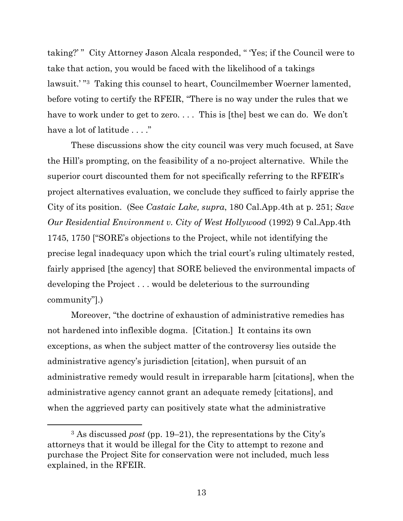taking?' " City Attorney Jason Alcala responded, " 'Yes; if the Council were to take that action, you would be faced with the likelihood of a takings lawsuit.' " <sup>3</sup> Taking this counsel to heart, Councilmember Woerner lamented, before voting to certify the RFEIR, "There is no way under the rules that we have to work under to get to zero. . . . This is [the] best we can do. We don't have a lot of latitude . . . ."

These discussions show the city council was very much focused, at Save the Hill's prompting, on the feasibility of a no-project alternative. While the superior court discounted them for not specifically referring to the RFEIR's project alternatives evaluation, we conclude they sufficed to fairly apprise the City of its position. (See *Castaic Lake, supra*, 180 Cal.App.4th at p. 251; *Save Our Residential Environment v. City of West Hollywood* (1992) 9 Cal.App.4th 1745, 1750 ["SORE's objections to the Project, while not identifying the precise legal inadequacy upon which the trial court's ruling ultimately rested, fairly apprised [the agency] that SORE believed the environmental impacts of developing the Project . . . would be deleterious to the surrounding community"].)

Moreover, "the doctrine of exhaustion of administrative remedies has not hardened into inflexible dogma. [Citation.] It contains its own exceptions, as when the subject matter of the controversy lies outside the administrative agency's jurisdiction [citation], when pursuit of an administrative remedy would result in irreparable harm [citations], when the administrative agency cannot grant an adequate remedy [citations], and when the aggrieved party can positively state what the administrative

<sup>3</sup> As discussed *post* (pp. 19–21), the representations by the City's attorneys that it would be illegal for the City to attempt to rezone and purchase the Project Site for conservation were not included, much less explained, in the RFEIR.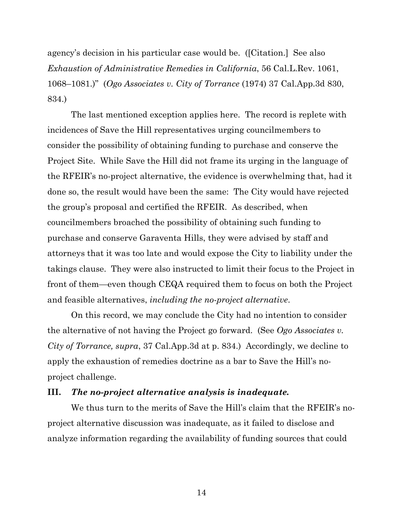agency's decision in his particular case would be. ([Citation.] See also *Exhaustion of Administrative Remedies in California*, 56 Cal.L.Rev. 1061, 1068–1081.)" (*Ogo Associates v. City of Torrance* (1974) 37 Cal.App.3d 830, 834.)

The last mentioned exception applies here. The record is replete with incidences of Save the Hill representatives urging councilmembers to consider the possibility of obtaining funding to purchase and conserve the Project Site. While Save the Hill did not frame its urging in the language of the RFEIR's no-project alternative, the evidence is overwhelming that, had it done so, the result would have been the same: The City would have rejected the group's proposal and certified the RFEIR. As described, when councilmembers broached the possibility of obtaining such funding to purchase and conserve Garaventa Hills, they were advised by staff and attorneys that it was too late and would expose the City to liability under the takings clause. They were also instructed to limit their focus to the Project in front of them—even though CEQA required them to focus on both the Project and feasible alternatives, *including the no-project alternative*.

On this record, we may conclude the City had no intention to consider the alternative of not having the Project go forward. (See *Ogo Associates v. City of Torrance, supra*, 37 Cal.App.3d at p. 834.) Accordingly, we decline to apply the exhaustion of remedies doctrine as a bar to Save the Hill's noproject challenge.

#### **III.** *The no-project alternative analysis is inadequate.*

We thus turn to the merits of Save the Hill's claim that the RFEIR's noproject alternative discussion was inadequate, as it failed to disclose and analyze information regarding the availability of funding sources that could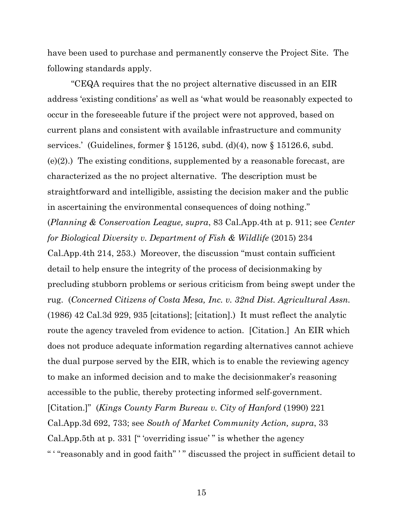have been used to purchase and permanently conserve the Project Site. The following standards apply.

"CEQA requires that the no project alternative discussed in an EIR address 'existing conditions' as well as 'what would be reasonably expected to occur in the foreseeable future if the project were not approved, based on current plans and consistent with available infrastructure and community services.' (Guidelines, former  $\S 15126$ , subd. (d)(4), now  $\S 15126.6$ , subd. (e)(2).) The existing conditions, supplemented by a reasonable forecast, are characterized as the no project alternative. The description must be straightforward and intelligible, assisting the decision maker and the public in ascertaining the environmental consequences of doing nothing." (*Planning & Conservation League, supra*, 83 Cal.App.4th at p. 911; see *Center for Biological Diversity v. Department of Fish & Wildlife* (2015) 234 Cal.App.4th 214, 253.) Moreover, the discussion "must contain sufficient detail to help ensure the integrity of the process of decisionmaking by precluding stubborn problems or serious criticism from being swept under the rug. (*Concerned Citizens of Costa Mesa, Inc. v. 32nd Dist. Agricultural Assn.* (1986) 42 Cal.3d 929, 935 [citations]; [citation].) It must reflect the analytic route the agency traveled from evidence to action. [Citation.] An EIR which does not produce adequate information regarding alternatives cannot achieve the dual purpose served by the EIR, which is to enable the reviewing agency to make an informed decision and to make the decisionmaker's reasoning accessible to the public, thereby protecting informed self-government. [Citation.]" (*Kings County Farm Bureau v. City of Hanford* (1990) 221 Cal.App.3d 692, 733; see *South of Market Community Action, supra*, 33 Cal.App.5th at p. 331 [" 'overriding issue' " is whether the agency " ' "reasonably and in good faith" ' " discussed the project in sufficient detail to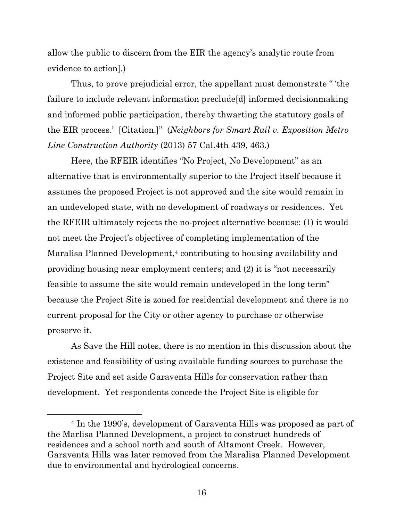allow the public to discern from the EIR the agency's analytic route from evidence to action].)

Thus, to prove prejudicial error, the appellant must demonstrate " 'the failure to include relevant information preclude[d] informed decisionmaking and informed public participation, thereby thwarting the statutory goals of the EIR process.' [Citation.]" (*Neighbors for Smart Rail v. Exposition Metro Line Construction Authority* (2013) 57 Cal.4th 439, 463.)

Here, the RFEIR identifies "No Project, No Development" as an alternative that is environmentally superior to the Project itself because it assumes the proposed Project is not approved and the site would remain in an undeveloped state, with no development of roadways or residences. Yet the RFEIR ultimately rejects the no-project alternative because: (1) it would not meet the Project's objectives of completing implementation of the Maralisa Planned Development, <sup>4</sup> contributing to housing availability and providing housing near employment centers; and (2) it is "not necessarily feasible to assume the site would remain undeveloped in the long term" because the Project Site is zoned for residential development and there is no current proposal for the City or other agency to purchase or otherwise preserve it.

As Save the Hill notes, there is no mention in this discussion about the existence and feasibility of using available funding sources to purchase the Project Site and set aside Garaventa Hills for conservation rather than development. Yet respondents concede the Project Site is eligible for

<sup>4</sup> In the 1990's, development of Garaventa Hills was proposed as part of the Marlisa Planned Development, a project to construct hundreds of residences and a school north and south of Altamont Creek. However, Garaventa Hills was later removed from the Maralisa Planned Development due to environmental and hydrological concerns.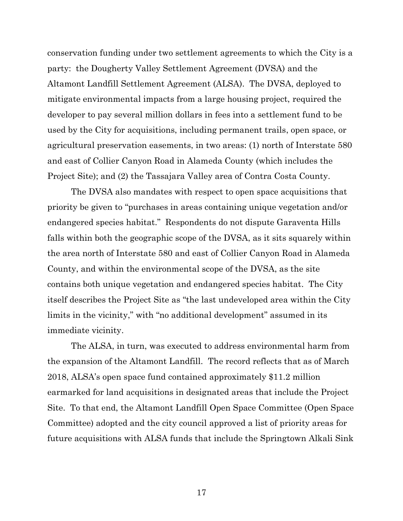conservation funding under two settlement agreements to which the City is a party: the Dougherty Valley Settlement Agreement (DVSA) and the Altamont Landfill Settlement Agreement (ALSA). The DVSA, deployed to mitigate environmental impacts from a large housing project, required the developer to pay several million dollars in fees into a settlement fund to be used by the City for acquisitions, including permanent trails, open space, or agricultural preservation easements, in two areas: (1) north of Interstate 580 and east of Collier Canyon Road in Alameda County (which includes the Project Site); and (2) the Tassajara Valley area of Contra Costa County.

The DVSA also mandates with respect to open space acquisitions that priority be given to "purchases in areas containing unique vegetation and/or endangered species habitat." Respondents do not dispute Garaventa Hills falls within both the geographic scope of the DVSA, as it sits squarely within the area north of Interstate 580 and east of Collier Canyon Road in Alameda County, and within the environmental scope of the DVSA, as the site contains both unique vegetation and endangered species habitat. The City itself describes the Project Site as "the last undeveloped area within the City limits in the vicinity," with "no additional development" assumed in its immediate vicinity.

The ALSA, in turn, was executed to address environmental harm from the expansion of the Altamont Landfill. The record reflects that as of March 2018, ALSA's open space fund contained approximately \$11.2 million earmarked for land acquisitions in designated areas that include the Project Site. To that end, the Altamont Landfill Open Space Committee (Open Space Committee) adopted and the city council approved a list of priority areas for future acquisitions with ALSA funds that include the Springtown Alkali Sink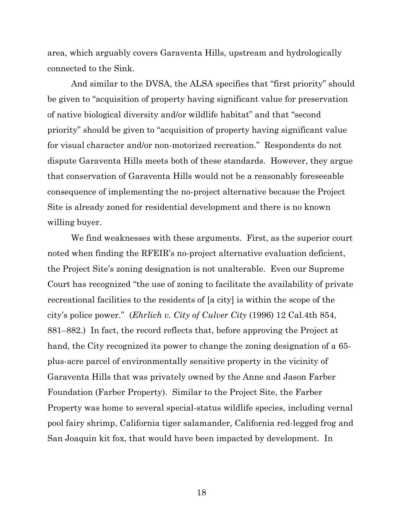area, which arguably covers Garaventa Hills, upstream and hydrologically connected to the Sink.

And similar to the DVSA, the ALSA specifies that "first priority" should be given to "acquisition of property having significant value for preservation of native biological diversity and/or wildlife habitat" and that "second priority" should be given to "acquisition of property having significant value for visual character and/or non-motorized recreation." Respondents do not dispute Garaventa Hills meets both of these standards. However, they argue that conservation of Garaventa Hills would not be a reasonably foreseeable consequence of implementing the no-project alternative because the Project Site is already zoned for residential development and there is no known willing buyer.

We find weaknesses with these arguments. First, as the superior court noted when finding the RFEIR's no-project alternative evaluation deficient, the Project Site's zoning designation is not unalterable. Even our Supreme Court has recognized "the use of zoning to facilitate the availability of private recreational facilities to the residents of [a city] is within the scope of the city's police power." (*Ehrlich v. City of Culver City* (1996) 12 Cal.4th 854, 881–882.) In fact, the record reflects that, before approving the Project at hand, the City recognized its power to change the zoning designation of a 65 plus-acre parcel of environmentally sensitive property in the vicinity of Garaventa Hills that was privately owned by the Anne and Jason Farber Foundation (Farber Property). Similar to the Project Site, the Farber Property was home to several special-status wildlife species, including vernal pool fairy shrimp, California tiger salamander, California red-legged frog and San Joaquin kit fox, that would have been impacted by development. In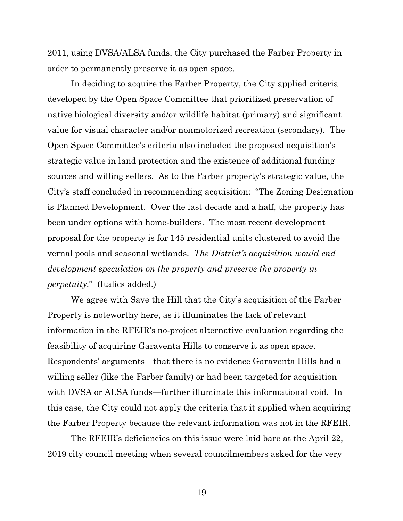2011, using DVSA/ALSA funds, the City purchased the Farber Property in order to permanently preserve it as open space.

In deciding to acquire the Farber Property, the City applied criteria developed by the Open Space Committee that prioritized preservation of native biological diversity and/or wildlife habitat (primary) and significant value for visual character and/or nonmotorized recreation (secondary). The Open Space Committee's criteria also included the proposed acquisition's strategic value in land protection and the existence of additional funding sources and willing sellers. As to the Farber property's strategic value, the City's staff concluded in recommending acquisition: "The Zoning Designation is Planned Development. Over the last decade and a half, the property has been under options with home-builders. The most recent development proposal for the property is for 145 residential units clustered to avoid the vernal pools and seasonal wetlands. *The District's acquisition would end development speculation on the property and preserve the property in perpetuity.*" (Italics added.)

We agree with Save the Hill that the City's acquisition of the Farber Property is noteworthy here, as it illuminates the lack of relevant information in the RFEIR's no-project alternative evaluation regarding the feasibility of acquiring Garaventa Hills to conserve it as open space. Respondents' arguments—that there is no evidence Garaventa Hills had a willing seller (like the Farber family) or had been targeted for acquisition with DVSA or ALSA funds—further illuminate this informational void. In this case, the City could not apply the criteria that it applied when acquiring the Farber Property because the relevant information was not in the RFEIR.

The RFEIR's deficiencies on this issue were laid bare at the April 22, 2019 city council meeting when several councilmembers asked for the very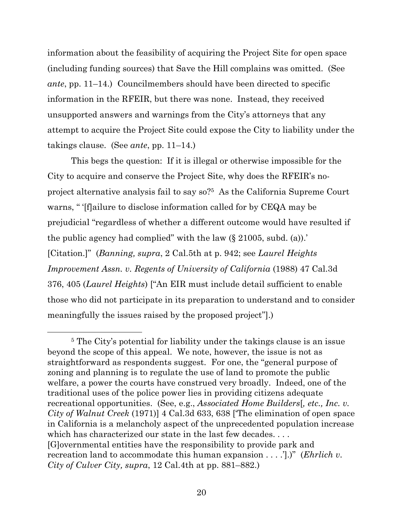information about the feasibility of acquiring the Project Site for open space (including funding sources) that Save the Hill complains was omitted. (See *ante*, pp. 11–14.) Councilmembers should have been directed to specific information in the RFEIR, but there was none. Instead, they received unsupported answers and warnings from the City's attorneys that any attempt to acquire the Project Site could expose the City to liability under the takings clause. (See *ante*, pp. 11–14.)

This begs the question: If it is illegal or otherwise impossible for the City to acquire and conserve the Project Site, why does the RFEIR's noproject alternative analysis fail to say so? 5 As the California Supreme Court warns, " '[f]ailure to disclose information called for by CEQA may be prejudicial "regardless of whether a different outcome would have resulted if the public agency had complied" with the law  $(\S 21005, \text{subd}, \text{(a)})$ . [Citation.]" (*Banning, supra*, 2 Cal.5th at p. 942; see *Laurel Heights Improvement Assn. v. Regents of University of California* (1988) 47 Cal.3d 376, 405 (*Laurel Heights*) ["An EIR must include detail sufficient to enable those who did not participate in its preparation to understand and to consider meaningfully the issues raised by the proposed project"].)

<sup>5</sup> The City's potential for liability under the takings clause is an issue beyond the scope of this appeal. We note, however, the issue is not as straightforward as respondents suggest. For one, the "general purpose of zoning and planning is to regulate the use of land to promote the public welfare, a power the courts have construed very broadly. Indeed, one of the traditional uses of the police power lies in providing citizens adequate recreational opportunities. (See, e.g., *Associated Home Builders*[*, etc., Inc. v. City of Walnut Creek* (1971)] 4 Cal.3d 633, 638 ['The elimination of open space in California is a melancholy aspect of the unprecedented population increase which has characterized our state in the last few decades. . . . [G]overnmental entities have the responsibility to provide park and recreation land to accommodate this human expansion . . . .'].)" (*Ehrlich v. City of Culver City, supra*, 12 Cal.4th at pp. 881–882.)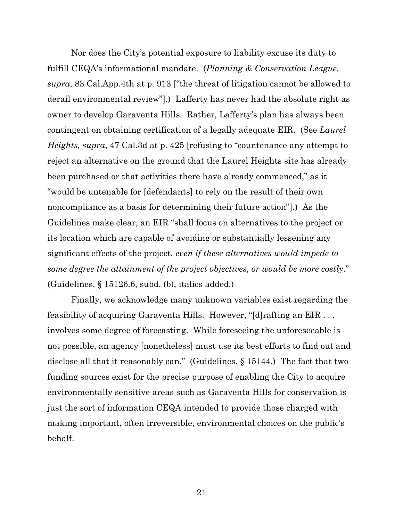Nor does the City's potential exposure to liability excuse its duty to fulfill CEQA's informational mandate. (*Planning & Conservation League, supra*, 83 Cal.App.4th at p. 913 ["the threat of litigation cannot be allowed to derail environmental review"].) Lafferty has never had the absolute right as owner to develop Garaventa Hills. Rather, Lafferty's plan has always been contingent on obtaining certification of a legally adequate EIR. (See *Laurel Heights, supra*, 47 Cal.3d at p. 425 [refusing to "countenance any attempt to reject an alternative on the ground that the Laurel Heights site has already been purchased or that activities there have already commenced," as it "would be untenable for [defendants] to rely on the result of their own noncompliance as a basis for determining their future action"].) As the Guidelines make clear, an EIR "shall focus on alternatives to the project or its location which are capable of avoiding or substantially lessening any significant effects of the project, *even if these alternatives would impede to some degree the attainment of the project objectives, or would be more costly*." (Guidelines, § 15126.6, subd. (b), italics added.)

Finally, we acknowledge many unknown variables exist regarding the feasibility of acquiring Garaventa Hills. However, "[d]rafting an EIR . . . involves some degree of forecasting. While foreseeing the unforeseeable is not possible, an agency [nonetheless] must use its best efforts to find out and disclose all that it reasonably can." (Guidelines, § 15144.) The fact that two funding sources exist for the precise purpose of enabling the City to acquire environmentally sensitive areas such as Garaventa Hills for conservation is just the sort of information CEQA intended to provide those charged with making important, often irreversible, environmental choices on the public's behalf.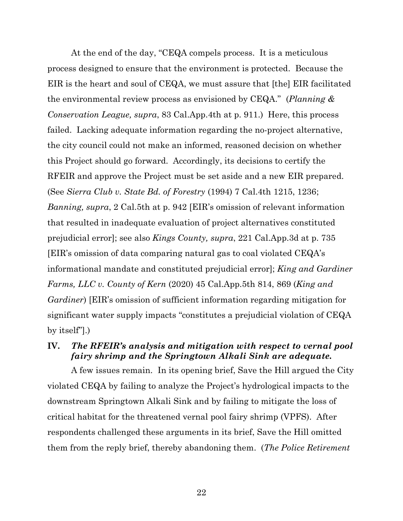At the end of the day, "CEQA compels process. It is a meticulous process designed to ensure that the environment is protected. Because the EIR is the heart and soul of CEQA, we must assure that [the] EIR facilitated the environmental review process as envisioned by CEQA." (*Planning & Conservation League, supra*, 83 Cal.App.4th at p. 911.) Here, this process failed. Lacking adequate information regarding the no-project alternative, the city council could not make an informed, reasoned decision on whether this Project should go forward. Accordingly, its decisions to certify the RFEIR and approve the Project must be set aside and a new EIR prepared. (See *Sierra Club v. State Bd. of Forestry* (1994) 7 Cal.4th 1215, 1236; *Banning, supra*, 2 Cal.5th at p. 942 [EIR's omission of relevant information that resulted in inadequate evaluation of project alternatives constituted prejudicial error]; see also *Kings County, supra*, 221 Cal.App.3d at p. 735 [EIR's omission of data comparing natural gas to coal violated CEQA's informational mandate and constituted prejudicial error]; *King and Gardiner Farms, LLC v. County of Kern* (2020) 45 Cal.App.5th 814, 869 (*King and Gardiner*) [EIR's omission of sufficient information regarding mitigation for significant water supply impacts "constitutes a prejudicial violation of CEQA by itself"].)

# **IV.** *The RFEIR's analysis and mitigation with respect to vernal pool fairy shrimp and the Springtown Alkali Sink are adequate.*

A few issues remain. In its opening brief, Save the Hill argued the City violated CEQA by failing to analyze the Project's hydrological impacts to the downstream Springtown Alkali Sink and by failing to mitigate the loss of critical habitat for the threatened vernal pool fairy shrimp (VPFS). After respondents challenged these arguments in its brief, Save the Hill omitted them from the reply brief, thereby abandoning them. (*The Police Retirement*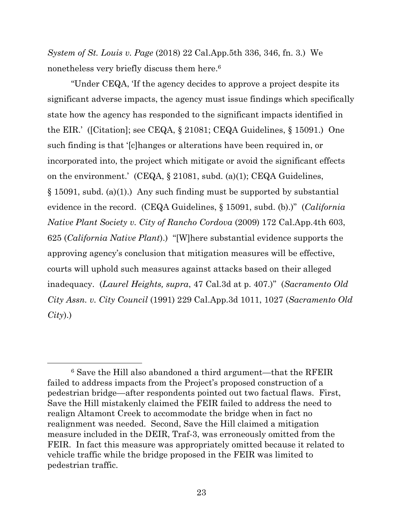*System of St. Louis v. Page* (2018) 22 Cal.App.5th 336, 346, fn. 3.) We nonetheless very briefly discuss them here. 6

"Under CEQA, 'If the agency decides to approve a project despite its significant adverse impacts, the agency must issue findings which specifically state how the agency has responded to the significant impacts identified in the EIR.' ([Citation]; see CEQA, § 21081; CEQA Guidelines, § 15091.) One such finding is that '[c]hanges or alterations have been required in, or incorporated into, the project which mitigate or avoid the significant effects on the environment.' (CEQA, § 21081, subd. (a)(1); CEQA Guidelines,  $\S 15091$ , subd. (a)(1).) Any such finding must be supported by substantial evidence in the record. (CEQA Guidelines, § 15091, subd. (b).)" (*California Native Plant Society v. City of Rancho Cordova* (2009) 172 Cal.App.4th 603, 625 (*California Native Plant*).) "[W]here substantial evidence supports the approving agency's conclusion that mitigation measures will be effective, courts will uphold such measures against attacks based on their alleged inadequacy. (*Laurel Heights, supra*, 47 Cal.3d at p. 407.)" (*Sacramento Old City Assn. v. City Council* (1991) 229 Cal.App.3d 1011, 1027 (*Sacramento Old City*).)

<sup>6</sup> Save the Hill also abandoned a third argument—that the RFEIR failed to address impacts from the Project's proposed construction of a pedestrian bridge—after respondents pointed out two factual flaws. First, Save the Hill mistakenly claimed the FEIR failed to address the need to realign Altamont Creek to accommodate the bridge when in fact no realignment was needed. Second, Save the Hill claimed a mitigation measure included in the DEIR, Traf-3, was erroneously omitted from the FEIR. In fact this measure was appropriately omitted because it related to vehicle traffic while the bridge proposed in the FEIR was limited to pedestrian traffic.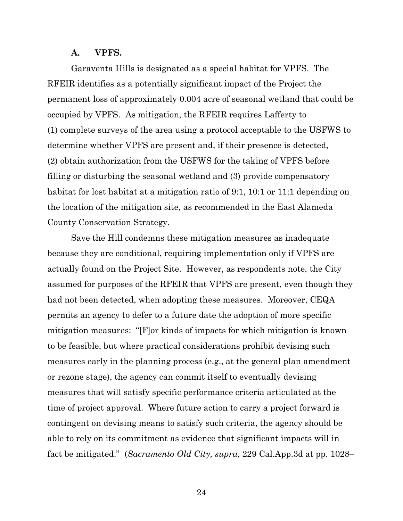#### **A. VPFS.**

Garaventa Hills is designated as a special habitat for VPFS. The RFEIR identifies as a potentially significant impact of the Project the permanent loss of approximately 0.004 acre of seasonal wetland that could be occupied by VPFS. As mitigation, the RFEIR requires Lafferty to (1) complete surveys of the area using a protocol acceptable to the USFWS to determine whether VPFS are present and, if their presence is detected, (2) obtain authorization from the USFWS for the taking of VPFS before filling or disturbing the seasonal wetland and (3) provide compensatory habitat for lost habitat at a mitigation ratio of 9:1, 10:1 or 11:1 depending on the location of the mitigation site, as recommended in the East Alameda County Conservation Strategy.

Save the Hill condemns these mitigation measures as inadequate because they are conditional, requiring implementation only if VPFS are actually found on the Project Site. However, as respondents note, the City assumed for purposes of the RFEIR that VPFS are present, even though they had not been detected, when adopting these measures. Moreover, CEQA permits an agency to defer to a future date the adoption of more specific mitigation measures: "[F]or kinds of impacts for which mitigation is known to be feasible, but where practical considerations prohibit devising such measures early in the planning process (e.g., at the general plan amendment or rezone stage), the agency can commit itself to eventually devising measures that will satisfy specific performance criteria articulated at the time of project approval. Where future action to carry a project forward is contingent on devising means to satisfy such criteria, the agency should be able to rely on its commitment as evidence that significant impacts will in fact be mitigated." (*Sacramento Old City, supra*, 229 Cal.App.3d at pp. 1028–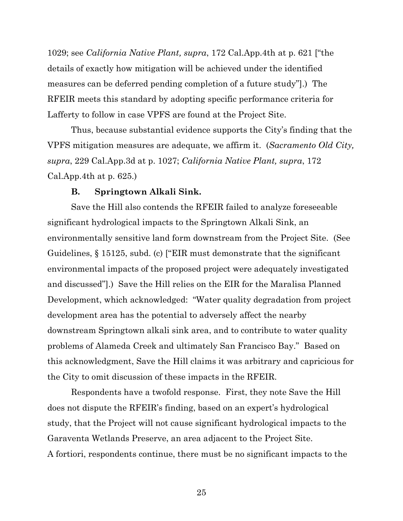1029; see *California Native Plant, supra*, 172 Cal.App.4th at p. 621 ["the details of exactly how mitigation will be achieved under the identified measures can be deferred pending completion of a future study"].) The RFEIR meets this standard by adopting specific performance criteria for Lafferty to follow in case VPFS are found at the Project Site.

Thus, because substantial evidence supports the City's finding that the VPFS mitigation measures are adequate, we affirm it. (*Sacramento Old City, supra*, 229 Cal.App.3d at p. 1027; *California Native Plant, supra*, 172 Cal.App.4th at p. 625.)

#### **B. Springtown Alkali Sink.**

Save the Hill also contends the RFEIR failed to analyze foreseeable significant hydrological impacts to the Springtown Alkali Sink, an environmentally sensitive land form downstream from the Project Site. (See Guidelines, § 15125, subd. (c) ["EIR must demonstrate that the significant environmental impacts of the proposed project were adequately investigated and discussed"].) Save the Hill relies on the EIR for the Maralisa Planned Development, which acknowledged: "Water quality degradation from project development area has the potential to adversely affect the nearby downstream Springtown alkali sink area, and to contribute to water quality problems of Alameda Creek and ultimately San Francisco Bay." Based on this acknowledgment, Save the Hill claims it was arbitrary and capricious for the City to omit discussion of these impacts in the RFEIR.

Respondents have a twofold response. First, they note Save the Hill does not dispute the RFEIR's finding, based on an expert's hydrological study, that the Project will not cause significant hydrological impacts to the Garaventa Wetlands Preserve, an area adjacent to the Project Site. A fortiori, respondents continue, there must be no significant impacts to the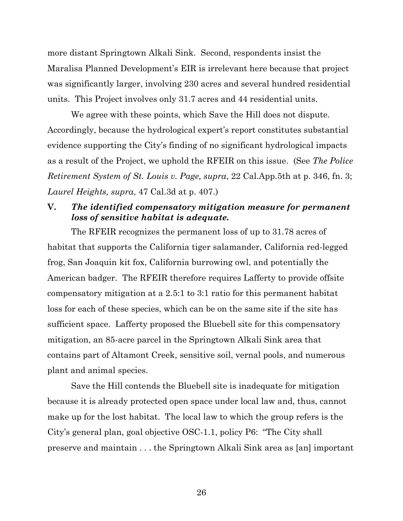more distant Springtown Alkali Sink. Second, respondents insist the Maralisa Planned Development's EIR is irrelevant here because that project was significantly larger, involving 230 acres and several hundred residential units. This Project involves only 31.7 acres and 44 residential units.

We agree with these points, which Save the Hill does not dispute. Accordingly, because the hydrological expert's report constitutes substantial evidence supporting the City's finding of no significant hydrological impacts as a result of the Project, we uphold the RFEIR on this issue. (See *The Police Retirement System of St. Louis v. Page, supra*, 22 Cal.App.5th at p. 346, fn. 3; *Laurel Heights, supra*, 47 Cal.3d at p. 407.)

# **V.** *The identified compensatory mitigation measure for permanent loss of sensitive habitat is adequate.*

The RFEIR recognizes the permanent loss of up to 31.78 acres of habitat that supports the California tiger salamander, California red-legged frog, San Joaquin kit fox, California burrowing owl, and potentially the American badger. The RFEIR therefore requires Lafferty to provide offsite compensatory mitigation at a 2.5:1 to 3:1 ratio for this permanent habitat loss for each of these species, which can be on the same site if the site has sufficient space. Lafferty proposed the Bluebell site for this compensatory mitigation, an 85-acre parcel in the Springtown Alkali Sink area that contains part of Altamont Creek, sensitive soil, vernal pools, and numerous plant and animal species.

Save the Hill contends the Bluebell site is inadequate for mitigation because it is already protected open space under local law and, thus, cannot make up for the lost habitat. The local law to which the group refers is the City's general plan, goal objective OSC-1.1, policy P6: "The City shall preserve and maintain . . . the Springtown Alkali Sink area as [an] important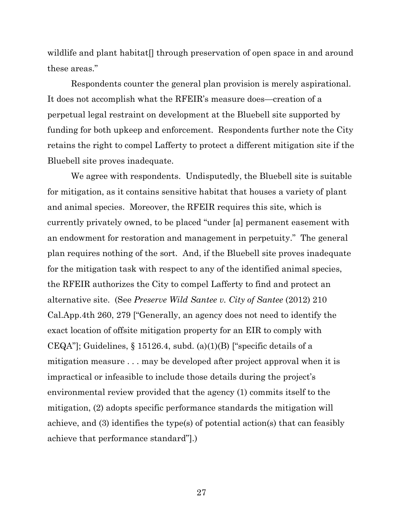wildlife and plant habitat. I through preservation of open space in and around these areas."

Respondents counter the general plan provision is merely aspirational. It does not accomplish what the RFEIR's measure does—creation of a perpetual legal restraint on development at the Bluebell site supported by funding for both upkeep and enforcement. Respondents further note the City retains the right to compel Lafferty to protect a different mitigation site if the Bluebell site proves inadequate.

We agree with respondents. Undisputedly, the Bluebell site is suitable for mitigation, as it contains sensitive habitat that houses a variety of plant and animal species. Moreover, the RFEIR requires this site, which is currently privately owned, to be placed "under [a] permanent easement with an endowment for restoration and management in perpetuity." The general plan requires nothing of the sort. And, if the Bluebell site proves inadequate for the mitigation task with respect to any of the identified animal species, the RFEIR authorizes the City to compel Lafferty to find and protect an alternative site. (See *Preserve Wild Santee v. City of Santee* (2012) 210 Cal.App.4th 260, 279 ["Generally, an agency does not need to identify the exact location of offsite mitigation property for an EIR to comply with CEQA"]; Guidelines,  $\S 15126.4$ , subd. (a)(1)(B) ["specific details of a mitigation measure . . . may be developed after project approval when it is impractical or infeasible to include those details during the project's environmental review provided that the agency (1) commits itself to the mitigation, (2) adopts specific performance standards the mitigation will achieve, and (3) identifies the type(s) of potential action(s) that can feasibly achieve that performance standard"].)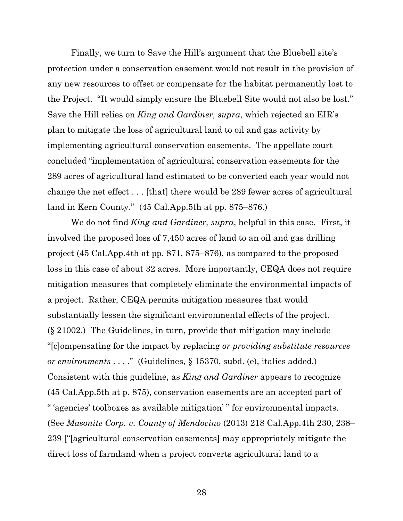Finally, we turn to Save the Hill's argument that the Bluebell site's protection under a conservation easement would not result in the provision of any new resources to offset or compensate for the habitat permanently lost to the Project. "It would simply ensure the Bluebell Site would not also be lost." Save the Hill relies on *King and Gardiner, supra*, which rejected an EIR's plan to mitigate the loss of agricultural land to oil and gas activity by implementing agricultural conservation easements. The appellate court concluded "implementation of agricultural conservation easements for the 289 acres of agricultural land estimated to be converted each year would not change the net effect . . . [that] there would be 289 fewer acres of agricultural land in Kern County." (45 Cal.App.5th at pp. 875–876.)

We do not find *King and Gardiner, supra*, helpful in this case. First, it involved the proposed loss of 7,450 acres of land to an oil and gas drilling project (45 Cal.App.4th at pp. 871, 875–876), as compared to the proposed loss in this case of about 32 acres. More importantly, CEQA does not require mitigation measures that completely eliminate the environmental impacts of a project. Rather, CEQA permits mitigation measures that would substantially lessen the significant environmental effects of the project. (§ 21002.) The Guidelines, in turn, provide that mitigation may include "[c]ompensating for the impact by replacing *or providing substitute resources or environments* . . . ." (Guidelines, § 15370, subd. (e), italics added.) Consistent with this guideline, as *King and Gardiner* appears to recognize (45 Cal.App.5th at p. 875), conservation easements are an accepted part of " 'agencies' toolboxes as available mitigation' " for environmental impacts. (See *Masonite Corp. v. County of Mendocino* (2013) 218 Cal.App.4th 230, 238– 239 ["[agricultural conservation easements] may appropriately mitigate the direct loss of farmland when a project converts agricultural land to a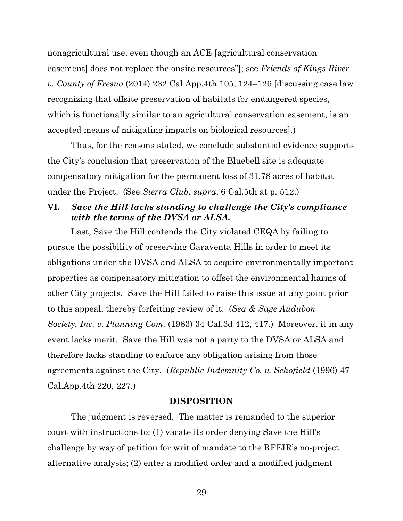nonagricultural use, even though an ACE [agricultural conservation easement] does not replace the onsite resources"]; see *Friends of Kings River v. County of Fresno* (2014) 232 Cal.App.4th 105, 124–126 [discussing case law recognizing that offsite preservation of habitats for endangered species, which is functionally similar to an agricultural conservation easement, is an accepted means of mitigating impacts on biological resources].)

Thus, for the reasons stated, we conclude substantial evidence supports the City's conclusion that preservation of the Bluebell site is adequate compensatory mitigation for the permanent loss of 31.78 acres of habitat under the Project. (See *Sierra Club, supra*, 6 Cal.5th at p. 512.)

# **VI.** *Save the Hill lacks standing to challenge the City's compliance with the terms of the DVSA or ALSA.*

Last, Save the Hill contends the City violated CEQA by failing to pursue the possibility of preserving Garaventa Hills in order to meet its obligations under the DVSA and ALSA to acquire environmentally important properties as compensatory mitigation to offset the environmental harms of other City projects. Save the Hill failed to raise this issue at any point prior to this appeal, thereby forfeiting review of it. (*Sea & Sage Audubon Society, Inc. v. Planning Com.* (1983) 34 Cal.3d 412, 417.) Moreover, it in any event lacks merit. Save the Hill was not a party to the DVSA or ALSA and therefore lacks standing to enforce any obligation arising from those agreements against the City. (*Republic Indemnity Co. v. Schofield* (1996) 47 Cal.App.4th 220, 227.)

## **DISPOSITION**

The judgment is reversed. The matter is remanded to the superior court with instructions to: (1) vacate its order denying Save the Hill's challenge by way of petition for writ of mandate to the RFEIR's no-project alternative analysis; (2) enter a modified order and a modified judgment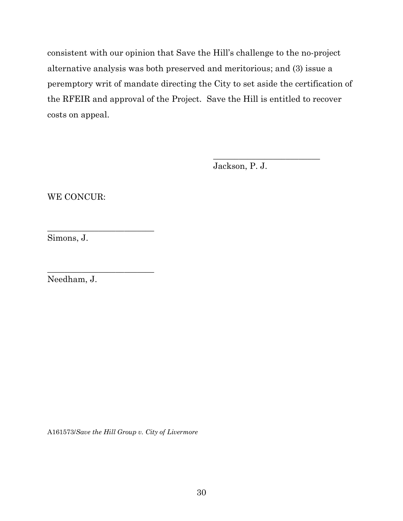consistent with our opinion that Save the Hill's challenge to the no-project alternative analysis was both preserved and meritorious; and (3) issue a peremptory writ of mandate directing the City to set aside the certification of the RFEIR and approval of the Project. Save the Hill is entitled to recover costs on appeal.

Jackson, P. J.

\_\_\_\_\_\_\_\_\_\_\_\_\_\_\_\_\_\_\_\_\_\_\_\_\_

WE CONCUR:

\_\_\_\_\_\_\_\_\_\_\_\_\_\_\_\_\_\_\_\_\_\_\_\_\_

\_\_\_\_\_\_\_\_\_\_\_\_\_\_\_\_\_\_\_\_\_\_\_\_\_

Simons, J.

Needham, J.

A161573/*Save the Hill Group v. City of Livermore*